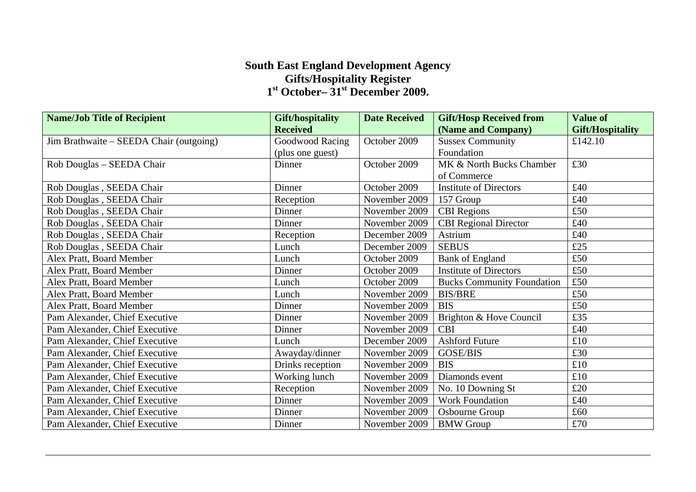## **South East England Development Agency Gifts/Hospitality Register 1st October– 31st December 2009.**

| <b>Name/Job Title of Recipient</b>      | Gift/hospitality | <b>Date Received</b> | <b>Gift/Hosp Received from</b>    | <b>Value of</b>         |
|-----------------------------------------|------------------|----------------------|-----------------------------------|-------------------------|
|                                         | <b>Received</b>  |                      | (Name and Company)                | <b>Gift/Hospitality</b> |
| Jim Brathwaite – SEEDA Chair (outgoing) | Goodwood Racing  | October 2009         | <b>Sussex Community</b>           | £142.10                 |
|                                         | (plus one guest) |                      | Foundation                        |                         |
| Rob Douglas - SEEDA Chair               | Dinner           | October 2009         | MK & North Bucks Chamber          | £30                     |
|                                         |                  |                      | of Commerce                       |                         |
| Rob Douglas, SEEDA Chair                | Dinner           | October 2009         | <b>Institute of Directors</b>     | £40                     |
| Rob Douglas, SEEDA Chair                | Reception        | November 2009        | 157 Group                         | £40                     |
| Rob Douglas, SEEDA Chair                | Dinner           | November 2009        | <b>CBI</b> Regions                | £50                     |
| Rob Douglas, SEEDA Chair                | Dinner           | November 2009        | <b>CBI</b> Regional Director      | £40                     |
| Rob Douglas, SEEDA Chair                | Reception        | December 2009        | Astrium                           | £40                     |
| Rob Douglas, SEEDA Chair                | Lunch            | December 2009        | <b>SEBUS</b>                      | £25                     |
| Alex Pratt, Board Member                | Lunch            | October 2009         | <b>Bank of England</b>            | £50                     |
| Alex Pratt, Board Member                | Dinner           | October 2009         | <b>Institute of Directors</b>     | £50                     |
| Alex Pratt, Board Member                | Lunch            | October 2009         | <b>Bucks Community Foundation</b> | £50                     |
| Alex Pratt, Board Member                | Lunch            | November 2009        | <b>BIS/BRE</b>                    | £50                     |
| Alex Pratt, Board Member                | Dinner           | November 2009        | <b>BIS</b>                        | £50                     |
| Pam Alexander, Chief Executive          | Dinner           | November 2009        | Brighton & Hove Council           | £35                     |
| Pam Alexander, Chief Executive          | Dinner           | November 2009        | <b>CBI</b>                        | £40                     |
| Pam Alexander, Chief Executive          | Lunch            | December 2009        | <b>Ashford Future</b>             | £10                     |
| Pam Alexander, Chief Executive          | Awayday/dinner   | November 2009        | GOSE/BIS                          | £30                     |
| Pam Alexander, Chief Executive          | Drinks reception | November 2009        | <b>BIS</b>                        | £10                     |
| Pam Alexander, Chief Executive          | Working lunch    | November 2009        | Diamonds event                    | £10                     |
| Pam Alexander, Chief Executive          | Reception        | November 2009        | No. 10 Downing St                 | £20                     |
| Pam Alexander, Chief Executive          | Dinner           | November 2009        | Work Foundation                   | £40                     |
| Pam Alexander, Chief Executive          | Dinner           | November 2009        | Osbourne Group                    | £60                     |
| Pam Alexander, Chief Executive          | Dinner           | November 2009        | <b>BMW</b> Group                  | £70                     |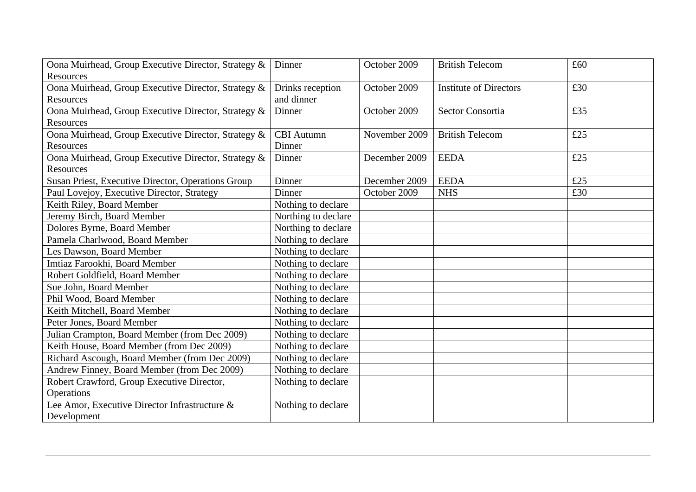| Oona Muirhead, Group Executive Director, Strategy & | Dinner              | October 2009  | <b>British Telecom</b>        | £60 |
|-----------------------------------------------------|---------------------|---------------|-------------------------------|-----|
| Resources                                           |                     |               |                               |     |
| Oona Muirhead, Group Executive Director, Strategy & | Drinks reception    | October 2009  | <b>Institute of Directors</b> | £30 |
| <b>Resources</b>                                    | and dinner          |               |                               |     |
| Oona Muirhead, Group Executive Director, Strategy & | Dinner              | October 2009  | <b>Sector Consortia</b>       | £35 |
| Resources                                           |                     |               |                               |     |
| Oona Muirhead, Group Executive Director, Strategy & | <b>CBI</b> Autumn   | November 2009 | <b>British Telecom</b>        | £25 |
| Resources                                           | Dinner              |               |                               |     |
| Oona Muirhead, Group Executive Director, Strategy & | Dinner              | December 2009 | <b>EEDA</b>                   | £25 |
| Resources                                           |                     |               |                               |     |
| Susan Priest, Executive Director, Operations Group  | Dinner              | December 2009 | <b>EEDA</b>                   | £25 |
| Paul Lovejoy, Executive Director, Strategy          | Dinner              | October 2009  | <b>NHS</b>                    | £30 |
| Keith Riley, Board Member                           | Nothing to declare  |               |                               |     |
| Jeremy Birch, Board Member                          | Northing to declare |               |                               |     |
| Dolores Byrne, Board Member                         | Northing to declare |               |                               |     |
| Pamela Charlwood, Board Member                      | Nothing to declare  |               |                               |     |
| Les Dawson, Board Member                            | Nothing to declare  |               |                               |     |
| Imtiaz Farookhi, Board Member                       | Nothing to declare  |               |                               |     |
| Robert Goldfield, Board Member                      | Nothing to declare  |               |                               |     |
| Sue John, Board Member                              | Nothing to declare  |               |                               |     |
| Phil Wood, Board Member                             | Nothing to declare  |               |                               |     |
| Keith Mitchell, Board Member                        | Nothing to declare  |               |                               |     |
| Peter Jones, Board Member                           | Nothing to declare  |               |                               |     |
| Julian Crampton, Board Member (from Dec 2009)       | Nothing to declare  |               |                               |     |
| Keith House, Board Member (from Dec 2009)           | Nothing to declare  |               |                               |     |
| Richard Ascough, Board Member (from Dec 2009)       | Nothing to declare  |               |                               |     |
| Andrew Finney, Board Member (from Dec 2009)         | Nothing to declare  |               |                               |     |
| Robert Crawford, Group Executive Director,          | Nothing to declare  |               |                               |     |
| Operations                                          |                     |               |                               |     |
| Lee Amor, Executive Director Infrastructure &       | Nothing to declare  |               |                               |     |
| Development                                         |                     |               |                               |     |